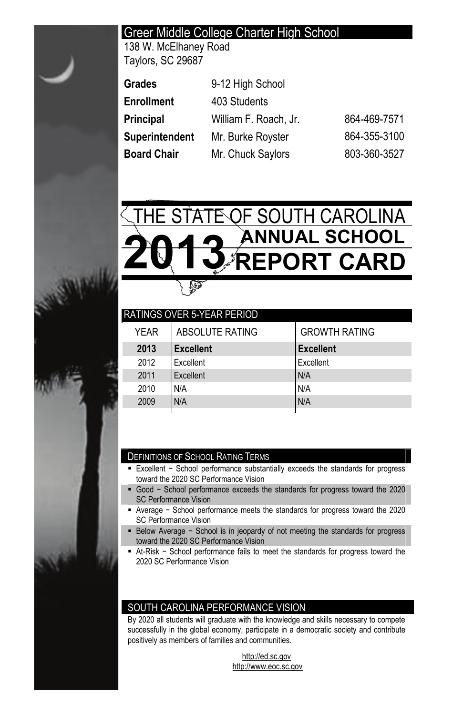# Greer Middle College Charter High School

138 W. McElhaney Road Taylors, SC 29687

| Grades         | 9-12 High School      |              |
|----------------|-----------------------|--------------|
| Enrollment     | 403 Students          |              |
| Principal      | William F. Roach, Jr. | 864-469-7571 |
| Superintendent | Mr. Burke Royster     | 864-355-3100 |
| Board Chair    | Mr. Chuck Saylors     | 803-360-3527 |



|      | I RATINGS OVER 5-YEAR PERIOD |                      |
|------|------------------------------|----------------------|
| YFAR | ABSOLUTE RATING              | <b>GROWTH RATING</b> |
| 2013 | <b>Excellent</b>             | <b>Excellent</b>     |
| 2012 | <b>Fxcellent</b>             | Excellent            |
| 2011 | Excellent                    | N/A                  |
| 2010 | N/A                          | N/A                  |
| 2009 | N/A                          | N/A                  |

#### DEFINITIONS OF SCHOOL RATING TERMS

- Excellent School performance substantially exceeds the standards for progress toward the 2020 SC Performance Vision
- Good School performance exceeds the standards for progress toward the 2020 SC Performance Vision
- Average School performance meets the standards for progress toward the 2020 SC Performance Vision
- Below Average School is in jeopardy of not meeting the standards for progress toward the 2020 SC Performance Vision
- At-Risk School performance fails to meet the standards for progress toward the 2020 SC Performance Vision

### SOUTH CAROLINA PERFORMANCE VISION

By 2020 all students will graduate with the knowledge and skills necessary to compete successfully in the global economy, participate in a democratic society and contribute positively as members of families and communities.

> http://ed.sc.gov http://www.eoc.sc.gov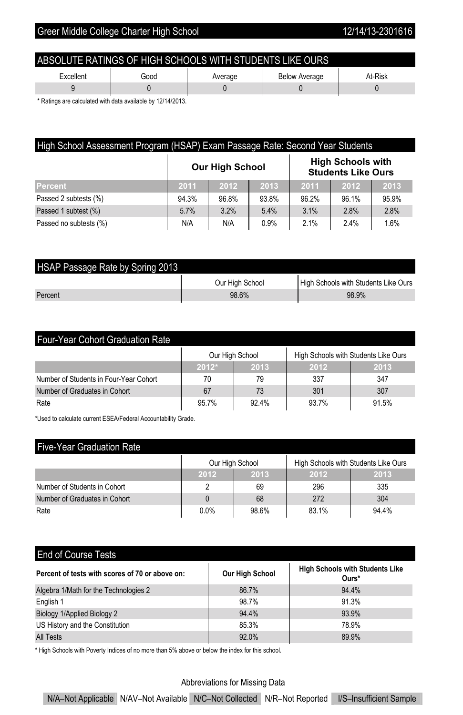| ABSOLUTE RATINGS OF HIGH SCHOOLS WITH STUDENTS LIKE OURS        |  |  |  |  |  |  |  |
|-----------------------------------------------------------------|--|--|--|--|--|--|--|
| At-Risk<br>Excellent<br><b>Below Average</b><br>Good<br>Average |  |  |  |  |  |  |  |
|                                                                 |  |  |  |  |  |  |  |

\* Ratings are calculated with data available by 12/14/2013.

| High School Assessment Program (HSAP) Exam Passage Rate: Second Year Students |                                                                                 |       |       |       |       |       |  |
|-------------------------------------------------------------------------------|---------------------------------------------------------------------------------|-------|-------|-------|-------|-------|--|
|                                                                               | <b>High Schools with</b><br><b>Our High School</b><br><b>Students Like Ours</b> |       |       |       |       |       |  |
| Percent                                                                       | 2011                                                                            | 2012  | 2013  | 2011  | 2012  | 2013  |  |
| Passed 2 subtests (%)                                                         | 94.3%                                                                           | 96.8% | 93.8% | 96.2% | 96.1% | 95.9% |  |
| Passed 1 subtest (%)                                                          | 5.7%                                                                            | 3.2%  | 5.4%  | 3.1%  | 2.8%  | 2.8%  |  |
| Passed no subtests (%)                                                        | N/A                                                                             | N/A   | 0.9%  | 2.1%  | 2.4%  | 1.6%  |  |

| HSAP Passage Rate by Spring 2013 |                 |                                      |  |  |  |  |  |
|----------------------------------|-----------------|--------------------------------------|--|--|--|--|--|
|                                  | Our High School | High Schools with Students Like Ours |  |  |  |  |  |
| Percent                          | 98.6%           | 98.9%                                |  |  |  |  |  |

| <b>Four-Year Cohort Graduation Rate</b>                 |         |       |       |       |  |  |
|---------------------------------------------------------|---------|-------|-------|-------|--|--|
| High Schools with Students Like Ours<br>Our High School |         |       |       |       |  |  |
|                                                         | $2012*$ | 2013  | 2012  | 2013  |  |  |
| Number of Students in Four-Year Cohort                  | 70      | 79    | 337   | 347   |  |  |
| Number of Graduates in Cohort                           | 67      | 73    | 301   | 307   |  |  |
| Rate                                                    | 95.7%   | 92.4% | 93.7% | 91.5% |  |  |

\*Used to calculate current ESEA/Federal Accountability Grade.

# Five-Year Graduation Rate

|                               | Our High School |       | High Schools with Students Like Ours |       |
|-------------------------------|-----------------|-------|--------------------------------------|-------|
|                               | 2012            | 2013  | 2012                                 | 2013  |
| Number of Students in Cohort  |                 | 69    | 296                                  | 335   |
| Number of Graduates in Cohort |                 | 68    | 272                                  | 304   |
| Rate                          | 0.0%            | 98.6% | 83.1%                                | 94.4% |

## End of Course Tests

| Percent of tests with scores of 70 or above on: | <b>Our High School</b> | <b>High Schools with Students Like</b><br>Ours* |
|-------------------------------------------------|------------------------|-------------------------------------------------|
| Algebra 1/Math for the Technologies 2           | 86.7%                  | 94.4%                                           |
| English 1                                       | 98.7%                  | 91.3%                                           |
| Biology 1/Applied Biology 2                     | 94.4%                  | 93.9%                                           |
| US History and the Constitution                 | 85.3%                  | 78.9%                                           |
| <b>All Tests</b>                                | 92.0%                  | 89.9%                                           |

\* High Schools with Poverty Indices of no more than 5% above or below the index for this school.

#### Abbreviations for Missing Data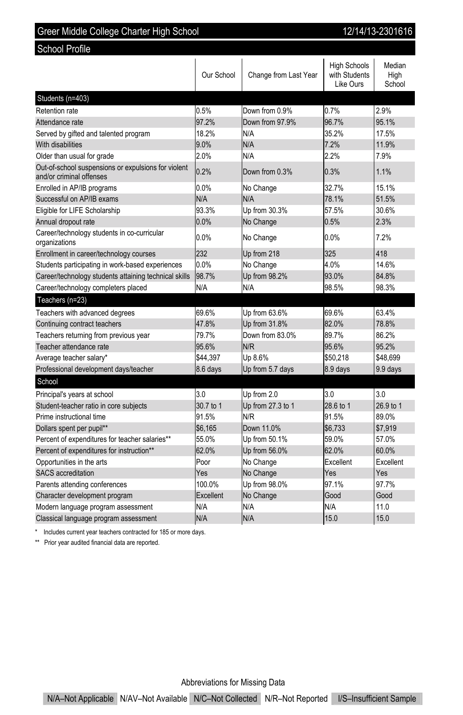| Oreer middle Oollege Orlandi i ligh Ochool                                      |            |                       |                                                   | טו טוע ב־טוידו ובו       |  |  |  |
|---------------------------------------------------------------------------------|------------|-----------------------|---------------------------------------------------|--------------------------|--|--|--|
| School Profile                                                                  |            |                       |                                                   |                          |  |  |  |
|                                                                                 | Our School | Change from Last Year | <b>High Schools</b><br>with Students<br>Like Ours | Median<br>High<br>School |  |  |  |
| Students (n=403)                                                                |            |                       |                                                   |                          |  |  |  |
| Retention rate                                                                  | 0.5%       | Down from 0.9%        | 0.7%                                              | 2.9%                     |  |  |  |
| Attendance rate                                                                 | 97.2%      | Down from 97.9%       | 96.7%                                             | 95.1%                    |  |  |  |
| Served by gifted and talented program                                           | 18.2%      | N/A                   | 35.2%                                             | 17.5%                    |  |  |  |
| With disabilities                                                               | 9.0%       | N/A                   | 7.2%                                              | 11.9%                    |  |  |  |
| Older than usual for grade                                                      | 2.0%       | N/A                   | 2.2%                                              | 7.9%                     |  |  |  |
| Out-of-school suspensions or expulsions for violent<br>and/or criminal offenses | 0.2%       | Down from 0.3%        | 0.3%                                              | 1.1%                     |  |  |  |
| Enrolled in AP/IB programs                                                      | 0.0%       | No Change             | 32.7%                                             | 15.1%                    |  |  |  |
| Successful on AP/IB exams                                                       | N/A        | N/A                   | 78.1%                                             | 51.5%                    |  |  |  |
| Eligible for LIFE Scholarship                                                   | 93.3%      | Up from 30.3%         | 57.5%                                             | 30.6%                    |  |  |  |
| Annual dropout rate                                                             | 0.0%       | No Change             | 0.5%                                              | 2.3%                     |  |  |  |
| Career/technology students in co-curricular<br>organizations                    | 0.0%       | No Change             | 0.0%                                              | 7.2%                     |  |  |  |
| Enrollment in career/technology courses                                         | 232        | Up from 218           | 325                                               | 418                      |  |  |  |
| Students participating in work-based experiences                                | 0.0%       | No Change             | 4.0%                                              | 14.6%                    |  |  |  |
| Career/technology students attaining technical skills                           | 98.7%      | Up from 98.2%         | 93.0%                                             | 84.8%                    |  |  |  |
| Career/technology completers placed                                             | N/A        | N/A                   | 98.5%                                             | 98.3%                    |  |  |  |
| Teachers (n=23)                                                                 |            |                       |                                                   |                          |  |  |  |
| Teachers with advanced degrees                                                  | 69.6%      | Up from 63.6%         | 69.6%                                             | 63.4%                    |  |  |  |
| Continuing contract teachers                                                    | 47.8%      | Up from 31.8%         | 82.0%                                             | 78.8%                    |  |  |  |
| Teachers returning from previous year                                           | 79.7%      | Down from 83.0%       | 89.7%                                             | 86.2%                    |  |  |  |
| Teacher attendance rate                                                         | 95.6%      | N/R                   | 95.6%                                             | 95.2%                    |  |  |  |
| Average teacher salary*                                                         | \$44.397   | Up 8.6%               | \$50.218                                          | \$48.699                 |  |  |  |
| Professional development days/teacher                                           | 8.6 days   | Up from 5.7 days      | 8.9 days                                          | 9.9 days                 |  |  |  |
| School                                                                          |            |                       |                                                   |                          |  |  |  |
| Principal's years at school                                                     | 3.0        | Up from 2.0           | 3.0                                               | 3.0                      |  |  |  |
| Student-teacher ratio in core subjects                                          | 30.7 to 1  | Up from 27.3 to 1     | 28.6 to 1                                         | 26.9 to 1                |  |  |  |
| Prime instructional time                                                        | 91.5%      | N/R                   | 91.5%                                             | 89.0%                    |  |  |  |
| Dollars spent per pupil**                                                       | \$6,165    | Down 11.0%            | \$6,733                                           | \$7,919                  |  |  |  |
| Percent of expenditures for teacher salaries**                                  | 55.0%      | Up from 50.1%         | 59.0%                                             | 57.0%                    |  |  |  |
| Percent of expenditures for instruction**                                       | 62.0%      | Up from 56.0%         | 62.0%                                             | 60.0%                    |  |  |  |
| Opportunities in the arts                                                       | Poor       | No Change             | Excellent                                         | Excellent                |  |  |  |
| <b>SACS</b> accreditation                                                       | Yes        | No Change             | Yes                                               | Yes                      |  |  |  |
| Parents attending conferences                                                   | 100.0%     | Up from 98.0%         | 97.1%                                             | 97.7%                    |  |  |  |
| Character development program                                                   | Excellent  | No Change             | Good                                              | Good                     |  |  |  |
| Modern language program assessment                                              | N/A        | N/A                   | N/A                                               | 11.0                     |  |  |  |
| Classical language program assessment                                           | N/A        | N/A                   | 15.0                                              | 15.0                     |  |  |  |

Greer Middle College Charter High School 12/14/13-2301616

\* Includes current year teachers contracted for 185 or more days.

\*\* Prior year audited financial data are reported.

Abbreviations for Missing Data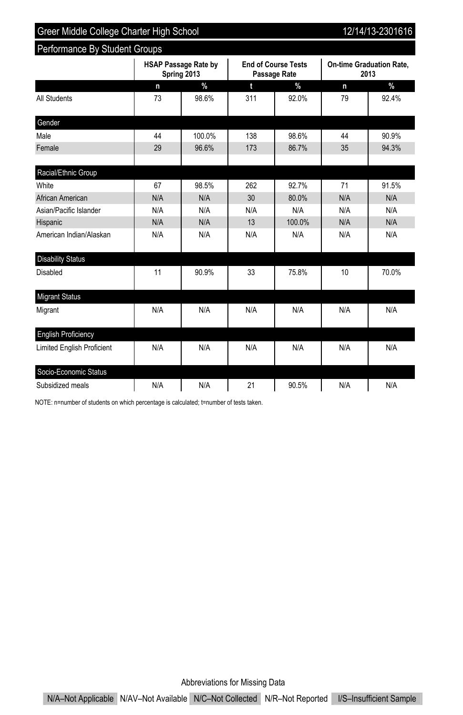Performance By Student Groups

12/14/13-2301616

|                                   |     | <b>HSAP Passage Rate by</b><br>Spring 2013 |     | <b>End of Course Tests</b><br>Passage Rate |     | <b>On-time Graduation Rate,</b><br>2013 |  |
|-----------------------------------|-----|--------------------------------------------|-----|--------------------------------------------|-----|-----------------------------------------|--|
|                                   | n   | $\frac{9}{6}$                              | t   | $\frac{9}{6}$                              | n   | $\%$                                    |  |
| All Students                      | 73  | 98.6%                                      | 311 | 92.0%                                      | 79  | 92.4%                                   |  |
| Gender                            |     |                                            |     |                                            |     |                                         |  |
| Male                              | 44  | 100.0%                                     | 138 | 98.6%                                      | 44  | 90.9%                                   |  |
| Female                            | 29  | 96.6%                                      | 173 | 86.7%                                      | 35  | 94.3%                                   |  |
| Racial/Ethnic Group               |     |                                            |     |                                            |     |                                         |  |
| White                             | 67  | 98.5%                                      | 262 | 92.7%                                      | 71  | 91.5%                                   |  |
| African American                  | N/A | N/A                                        | 30  | 80.0%                                      | N/A | N/A                                     |  |
| Asian/Pacific Islander            | N/A | N/A                                        | N/A | N/A                                        | N/A | N/A                                     |  |
| Hispanic                          | N/A | N/A                                        | 13  | 100.0%                                     | N/A | N/A                                     |  |
| American Indian/Alaskan           | N/A | N/A                                        | N/A | N/A                                        | N/A | N/A                                     |  |
| <b>Disability Status</b>          |     |                                            |     |                                            |     |                                         |  |
| Disabled                          | 11  | 90.9%                                      | 33  | 75.8%                                      | 10  | 70.0%                                   |  |
| <b>Migrant Status</b>             |     |                                            |     |                                            |     |                                         |  |
| Migrant                           | N/A | N/A                                        | N/A | N/A                                        | N/A | N/A                                     |  |
| <b>English Proficiency</b>        |     |                                            |     |                                            |     |                                         |  |
| <b>Limited English Proficient</b> | N/A | N/A                                        | N/A | N/A                                        | N/A | N/A                                     |  |
| Socio-Economic Status             |     |                                            |     |                                            |     |                                         |  |
| Subsidized meals                  | N/A | N/A                                        | 21  | 90.5%                                      | N/A | N/A                                     |  |

NOTE: n=number of students on which percentage is calculated; t=number of tests taken.

Abbreviations for Missing Data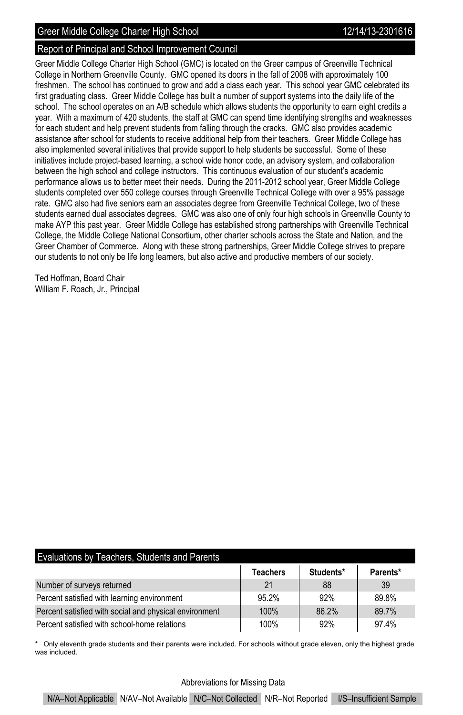#### Report of Principal and School Improvement Council

Greer Middle College Charter High School (GMC) is located on the Greer campus of Greenville Technical College in Northern Greenville County. GMC opened its doors in the fall of 2008 with approximately 100 freshmen. The school has continued to grow and add a class each year. This school year GMC celebrated its first graduating class. Greer Middle College has built a number of support systems into the daily life of the school. The school operates on an A/B schedule which allows students the opportunity to earn eight credits a year. With a maximum of 420 students, the staff at GMC can spend time identifying strengths and weaknesses for each student and help prevent students from falling through the cracks. GMC also provides academic assistance after school for students to receive additional help from their teachers. Greer Middle College has also implemented several initiatives that provide support to help students be successful. Some of these initiatives include project-based learning, a school wide honor code, an advisory system, and collaboration between the high school and college instructors. This continuous evaluation of our student's academic performance allows us to better meet their needs. During the 2011-2012 school year, Greer Middle College students completed over 550 college courses through Greenville Technical College with over a 95% passage rate. GMC also had five seniors earn an associates degree from Greenville Technical College, two of these students earned dual associates degrees. GMC was also one of only four high schools in Greenville County to make AYP this past year. Greer Middle College has established strong partnerships with Greenville Technical College, the Middle College National Consortium, other charter schools across the State and Nation, and the Greer Chamber of Commerce. Along with these strong partnerships, Greer Middle College strives to prepare our students to not only be life long learners, but also active and productive members of our society.

Ted Hoffman, Board Chair William F. Roach, Jr., Principal

| Evaluations by Teachers. Students and Parents |  |  |
|-----------------------------------------------|--|--|
|                                               |  |  |

|                                                        | <b>Teachers</b> | Students* | Parents* |
|--------------------------------------------------------|-----------------|-----------|----------|
| Number of surveys returned                             | 21              | 88        | 39       |
| Percent satisfied with learning environment            | 95.2%           | 92%       | 89.8%    |
| Percent satisfied with social and physical environment | 100%            | 86.2%     | 89.7%    |
| Percent satisfied with school-home relations           | 100%            | 92%       | 97.4%    |

\* Only eleventh grade students and their parents were included. For schools without grade eleven, only the highest grade was included.

#### Abbreviations for Missing Data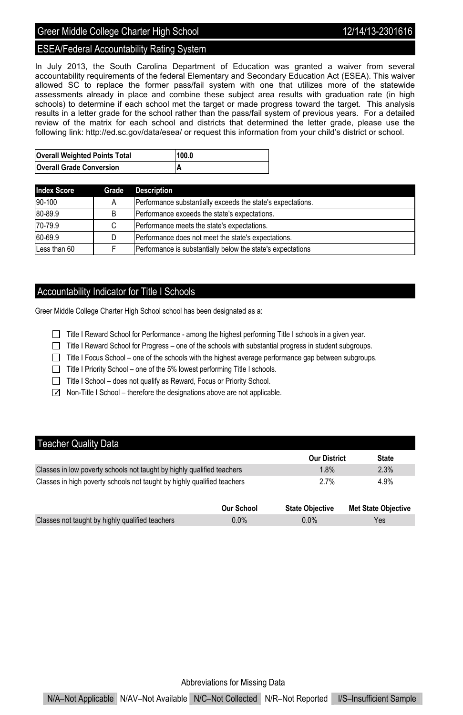#### ESEA/Federal Accountability Rating System

In July 2013, the South Carolina Department of Education was granted a waiver from several accountability requirements of the federal Elementary and Secondary Education Act (ESEA). This waiver allowed SC to replace the former pass/fail system with one that utilizes more of the statewide assessments already in place and combine these subject area results with graduation rate (in high schools) to determine if each school met the target or made progress toward the target. This analysis results in a letter grade for the school rather than the pass/fail system of previous years. For a detailed review of the matrix for each school and districts that determined the letter grade, please use the following link: http://ed.sc.gov/data/esea/ or request this information from your child's district or school.

| <b>Overall Weighted Points Total</b> | 100.0 |
|--------------------------------------|-------|
| <b>Overall Grade Conversion</b>      |       |

| <b>Index Score</b> | Grade | <b>Description</b>                                          |
|--------------------|-------|-------------------------------------------------------------|
| 90-100             | Α     | Performance substantially exceeds the state's expectations. |
| 80-89.9            | B     | Performance exceeds the state's expectations.               |
| 70-79.9            |       | Performance meets the state's expectations.                 |
| 60-69.9            |       | Performance does not meet the state's expectations.         |
| Less than 60       |       | Performance is substantially below the state's expectations |

#### Accountability Indicator for Title I Schools

Greer Middle College Charter High School school has been designated as a:

- Title I Reward School for Performance among the highest performing Title I schools in a given year.
- Title I Reward School for Progress one of the schools with substantial progress in student subgroups.
- $\Box$  Title I Focus School one of the schools with the highest average performance gap between subgroups.
- Title I Priority School one of the 5% lowest performing Title I schools.
- $\Box$  Title I School does not qualify as Reward, Focus or Priority School.
- $\Box$  Non-Title I School therefore the designations above are not applicable.

### **Teacher Quality Data**

|                                                                         | <b>Our District</b> | <b>State</b>        |
|-------------------------------------------------------------------------|---------------------|---------------------|
| Classes in low poverty schools not taught by highly qualified teachers  | 1.8%                | 2.3%                |
| Classes in high poverty schools not taught by highly qualified teachers | 2.7%                | 4.9%                |
|                                                                         | $M = 1 - M + 1 - 1$ | Mat Ofata Oktavitas |

|                                                 | Our School | <b>State Objective</b> | <b>Met State Objective</b> |
|-------------------------------------------------|------------|------------------------|----------------------------|
| Classes not taught by highly qualified teachers | $0.0\%$    | $0.0\%$                | Yes                        |
|                                                 |            |                        |                            |

Abbreviations for Missing Data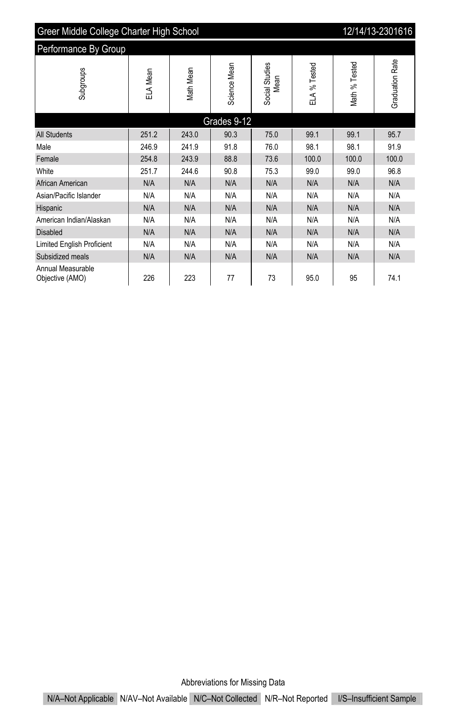| Greer Middle College Charter High School<br>12/14/13-2301616 |          |           |              |                        |              |               |                        |  |
|--------------------------------------------------------------|----------|-----------|--------------|------------------------|--------------|---------------|------------------------|--|
| Performance By Group                                         |          |           |              |                        |              |               |                        |  |
| Subgroups                                                    | ELA Mean | Math Mean | Science Mean | Social Studies<br>Mean | ELA % Tested | Math % Tested | <b>Graduation Rate</b> |  |
| Grades 9-12                                                  |          |           |              |                        |              |               |                        |  |
| <b>All Students</b>                                          | 251.2    | 243.0     | 90.3         | 75.0                   | 99.1         | 99.1          | 95.7                   |  |
| Male                                                         | 246.9    | 241.9     | 91.8         | 76.0                   | 98.1         | 98.1          | 91.9                   |  |
| Female                                                       | 254.8    | 243.9     | 88.8         | 73.6                   | 100.0        | 100.0         | 100.0                  |  |
| White                                                        | 251.7    | 244.6     | 90.8         | 75.3                   | 99.0         | 99.0          | 96.8                   |  |
| African American                                             | N/A      | N/A       | N/A          | N/A                    | N/A          | N/A           | N/A                    |  |
| Asian/Pacific Islander                                       | N/A      | N/A       | N/A          | N/A                    | N/A          | N/A           | N/A                    |  |
| Hispanic                                                     | N/A      | N/A       | N/A          | N/A                    | N/A          | N/A           | N/A                    |  |
| American Indian/Alaskan                                      | N/A      | N/A       | N/A          | N/A                    | N/A          | N/A           | N/A                    |  |
| <b>Disabled</b>                                              | N/A      | N/A       | N/A          | N/A                    | N/A          | N/A           | N/A                    |  |
| Limited English Proficient                                   | N/A      | N/A       | N/A          | N/A                    | N/A          | N/A           | N/A                    |  |
| Subsidized meals                                             | N/A      | N/A       | N/A          | N/A                    | N/A          | N/A           | N/A                    |  |
| Annual Measurable<br>Objective (AMO)                         | 226      | 223       | 77           | 73                     | 95.0         | 95            | 74.1                   |  |

Abbreviations for Missing Data